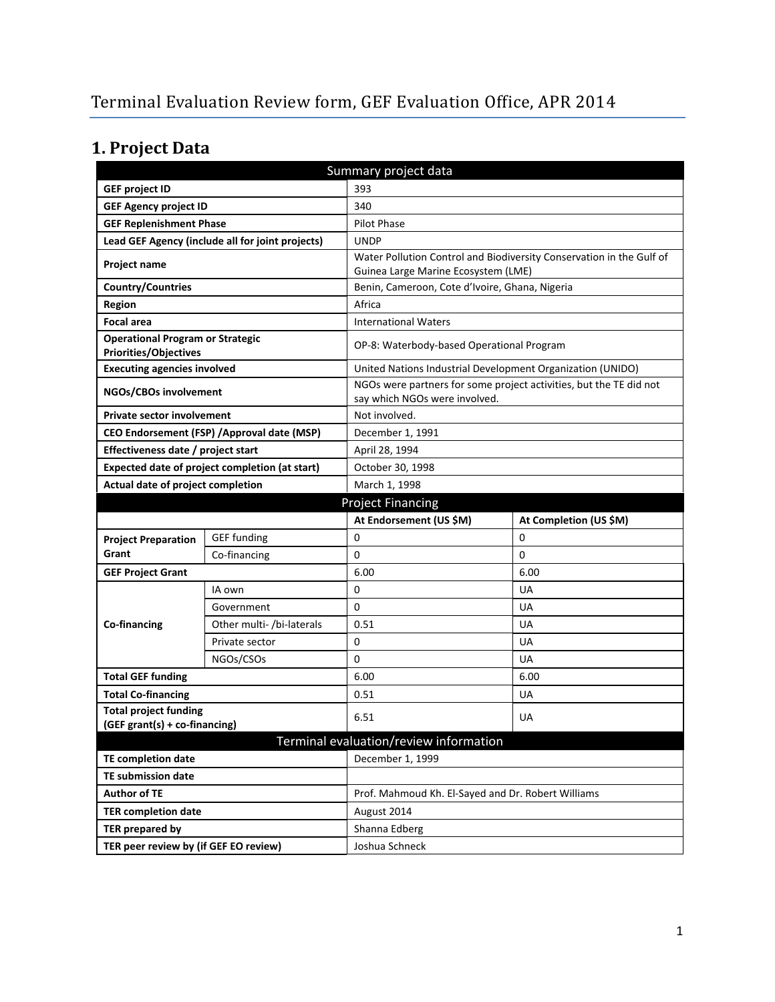# **1. Project Data**

| Summary project data                                                    |                                                  |                                                            |                                                                      |
|-------------------------------------------------------------------------|--------------------------------------------------|------------------------------------------------------------|----------------------------------------------------------------------|
| <b>GEF project ID</b>                                                   |                                                  | 393                                                        |                                                                      |
| <b>GEF Agency project ID</b><br>340                                     |                                                  |                                                            |                                                                      |
| <b>GEF Replenishment Phase</b>                                          |                                                  | Pilot Phase                                                |                                                                      |
|                                                                         | Lead GEF Agency (include all for joint projects) | <b>UNDP</b>                                                |                                                                      |
| <b>Project name</b>                                                     |                                                  | Guinea Large Marine Ecosystem (LME)                        | Water Pollution Control and Biodiversity Conservation in the Gulf of |
| <b>Country/Countries</b>                                                |                                                  | Benin, Cameroon, Cote d'Ivoire, Ghana, Nigeria             |                                                                      |
| <b>Region</b>                                                           |                                                  | Africa                                                     |                                                                      |
| <b>Focal area</b>                                                       |                                                  | <b>International Waters</b>                                |                                                                      |
| <b>Operational Program or Strategic</b><br><b>Priorities/Objectives</b> |                                                  | OP-8: Waterbody-based Operational Program                  |                                                                      |
| <b>Executing agencies involved</b>                                      |                                                  | United Nations Industrial Development Organization (UNIDO) |                                                                      |
| NGOs/CBOs involvement                                                   |                                                  | say which NGOs were involved.                              | NGOs were partners for some project activities, but the TE did not   |
| <b>Private sector involvement</b>                                       |                                                  | Not involved.                                              |                                                                      |
|                                                                         | CEO Endorsement (FSP) / Approval date (MSP)      | December 1, 1991                                           |                                                                      |
| Effectiveness date / project start                                      |                                                  | April 28, 1994                                             |                                                                      |
|                                                                         | Expected date of project completion (at start)   | October 30, 1998                                           |                                                                      |
| Actual date of project completion                                       |                                                  | March 1, 1998                                              |                                                                      |
|                                                                         |                                                  | <b>Project Financing</b>                                   |                                                                      |
|                                                                         |                                                  |                                                            |                                                                      |
|                                                                         |                                                  | At Endorsement (US \$M)                                    | At Completion (US \$M)                                               |
| <b>Project Preparation</b>                                              | <b>GEF</b> funding                               | 0                                                          | 0                                                                    |
| Grant                                                                   | Co-financing                                     | 0                                                          | 0                                                                    |
| <b>GEF Project Grant</b>                                                |                                                  | 6.00                                                       | 6.00                                                                 |
|                                                                         | IA own                                           | 0                                                          | UA                                                                   |
|                                                                         | Government                                       | 0                                                          | UA                                                                   |
| Co-financing                                                            | Other multi- /bi-laterals                        | 0.51                                                       | UA                                                                   |
|                                                                         | Private sector                                   | 0                                                          | UA                                                                   |
|                                                                         | NGOs/CSOs                                        | 0                                                          | UA                                                                   |
| <b>Total GEF funding</b>                                                |                                                  | 6.00                                                       | 6.00                                                                 |
| <b>Total Co-financing</b>                                               |                                                  | 0.51                                                       | UA                                                                   |
| <b>Total project funding</b>                                            |                                                  |                                                            |                                                                      |
| (GEF grant(s) + co-financing)                                           |                                                  | 6.51                                                       | UA                                                                   |
|                                                                         |                                                  | Terminal evaluation/review information                     |                                                                      |
| <b>TE completion date</b>                                               |                                                  | December 1, 1999                                           |                                                                      |
| TE submission date                                                      |                                                  |                                                            |                                                                      |
| <b>Author of TE</b>                                                     |                                                  | Prof. Mahmoud Kh. El-Sayed and Dr. Robert Williams         |                                                                      |
| <b>TER completion date</b>                                              |                                                  | August 2014                                                |                                                                      |
| <b>TER prepared by</b>                                                  |                                                  | Shanna Edberg                                              |                                                                      |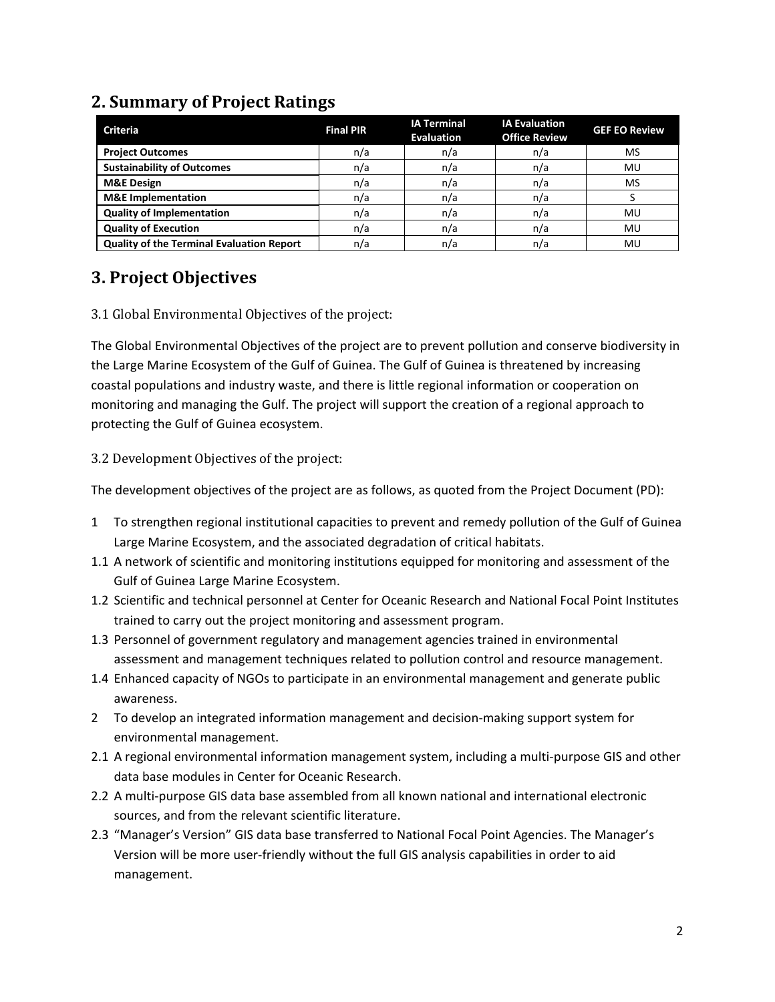### **2. Summary of Project Ratings**

| <b>Criteria</b>                                  | <b>Final PIR</b> | <b>IA Terminal</b><br><b>Evaluation</b> | <b>IA Evaluation</b><br><b>Office Review</b> | <b>GEF EO Review</b> |
|--------------------------------------------------|------------------|-----------------------------------------|----------------------------------------------|----------------------|
| <b>Project Outcomes</b>                          | n/a              | n/a                                     | n/a                                          | MS                   |
| <b>Sustainability of Outcomes</b>                | n/a              | n/a                                     | n/a                                          | MU                   |
| <b>M&amp;E Design</b>                            | n/a              | n/a                                     | n/a                                          | MS                   |
| <b>M&amp;E</b> Implementation                    | n/a              | n/a                                     | n/a                                          |                      |
| <b>Quality of Implementation</b>                 | n/a              | n/a                                     | n/a                                          | MU                   |
| <b>Quality of Execution</b>                      | n/a              | n/a                                     | n/a                                          | MU                   |
| <b>Quality of the Terminal Evaluation Report</b> | n/a              | n/a                                     | n/a                                          | MU                   |

#### **3. Project Objectives**

#### 3.1 Global Environmental Objectives of the project:

The Global Environmental Objectives of the project are to prevent pollution and conserve biodiversity in the Large Marine Ecosystem of the Gulf of Guinea. The Gulf of Guinea is threatened by increasing coastal populations and industry waste, and there is little regional information or cooperation on monitoring and managing the Gulf. The project will support the creation of a regional approach to protecting the Gulf of Guinea ecosystem.

#### 3.2 Development Objectives of the project:

The development objectives of the project are as follows, as quoted from the Project Document (PD):

- 1 To strengthen regional institutional capacities to prevent and remedy pollution of the Gulf of Guinea Large Marine Ecosystem, and the associated degradation of critical habitats.
- 1.1 A network of scientific and monitoring institutions equipped for monitoring and assessment of the Gulf of Guinea Large Marine Ecosystem.
- 1.2 Scientific and technical personnel at Center for Oceanic Research and National Focal Point Institutes trained to carry out the project monitoring and assessment program.
- 1.3 Personnel of government regulatory and management agencies trained in environmental assessment and management techniques related to pollution control and resource management.
- 1.4 Enhanced capacity of NGOs to participate in an environmental management and generate public awareness.
- 2 To develop an integrated information management and decision-making support system for environmental management.
- 2.1 A regional environmental information management system, including a multi-purpose GIS and other data base modules in Center for Oceanic Research.
- 2.2 A multi-purpose GIS data base assembled from all known national and international electronic sources, and from the relevant scientific literature.
- 2.3 "Manager's Version" GIS data base transferred to National Focal Point Agencies. The Manager's Version will be more user-friendly without the full GIS analysis capabilities in order to aid management.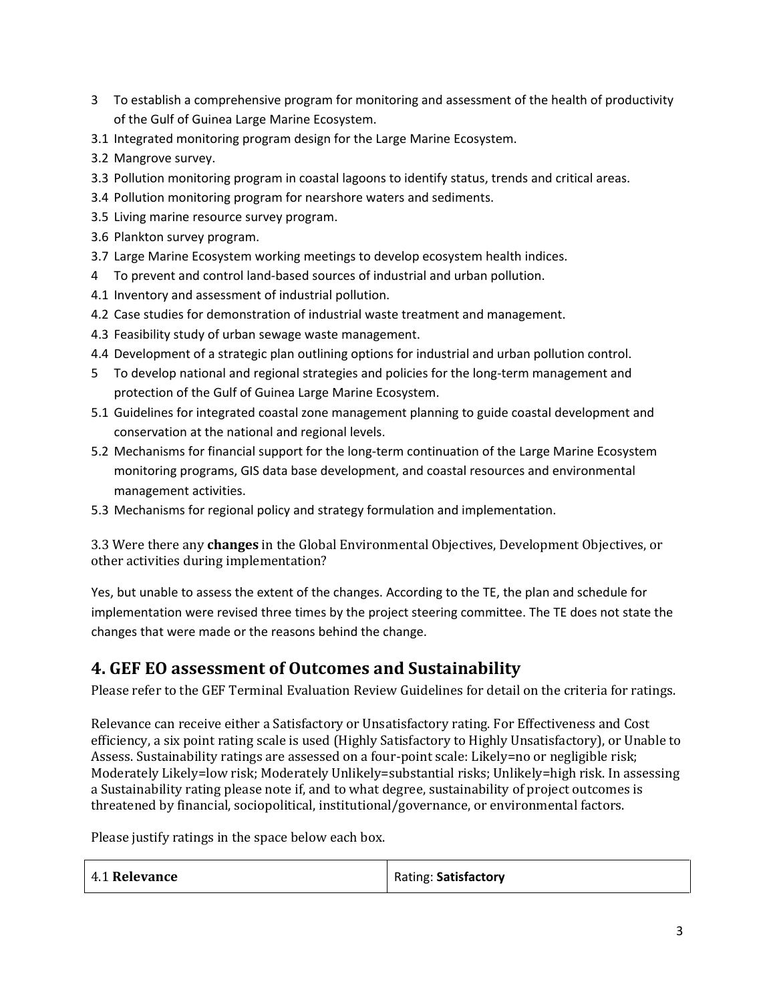- 3 To establish a comprehensive program for monitoring and assessment of the health of productivity of the Gulf of Guinea Large Marine Ecosystem.
- 3.1 Integrated monitoring program design for the Large Marine Ecosystem.
- 3.2 Mangrove survey.
- 3.3 Pollution monitoring program in coastal lagoons to identify status, trends and critical areas.
- 3.4 Pollution monitoring program for nearshore waters and sediments.
- 3.5 Living marine resource survey program.
- 3.6 Plankton survey program.
- 3.7 Large Marine Ecosystem working meetings to develop ecosystem health indices.
- 4 To prevent and control land-based sources of industrial and urban pollution.
- 4.1 Inventory and assessment of industrial pollution.
- 4.2 Case studies for demonstration of industrial waste treatment and management.
- 4.3 Feasibility study of urban sewage waste management.
- 4.4 Development of a strategic plan outlining options for industrial and urban pollution control.
- 5 To develop national and regional strategies and policies for the long-term management and protection of the Gulf of Guinea Large Marine Ecosystem.
- 5.1 Guidelines for integrated coastal zone management planning to guide coastal development and conservation at the national and regional levels.
- 5.2 Mechanisms for financial support for the long-term continuation of the Large Marine Ecosystem monitoring programs, GIS data base development, and coastal resources and environmental management activities.
- 5.3 Mechanisms for regional policy and strategy formulation and implementation.

3.3 Were there any **changes** in the Global Environmental Objectives, Development Objectives, or other activities during implementation?

Yes, but unable to assess the extent of the changes. According to the TE, the plan and schedule for implementation were revised three times by the project steering committee. The TE does not state the changes that were made or the reasons behind the change.

#### **4. GEF EO assessment of Outcomes and Sustainability**

Please refer to the GEF Terminal Evaluation Review Guidelines for detail on the criteria for ratings.

Relevance can receive either a Satisfactory or Unsatisfactory rating. For Effectiveness and Cost efficiency, a six point rating scale is used (Highly Satisfactory to Highly Unsatisfactory), or Unable to Assess. Sustainability ratings are assessed on a four-point scale: Likely=no or negligible risk; Moderately Likely=low risk; Moderately Unlikely=substantial risks; Unlikely=high risk. In assessing a Sustainability rating please note if, and to what degree, sustainability of project outcomes is threatened by financial, sociopolitical, institutional/governance, or environmental factors.

Please justify ratings in the space below each box.

| 4.1 Relevance | Rating: Satisfactory |
|---------------|----------------------|
|---------------|----------------------|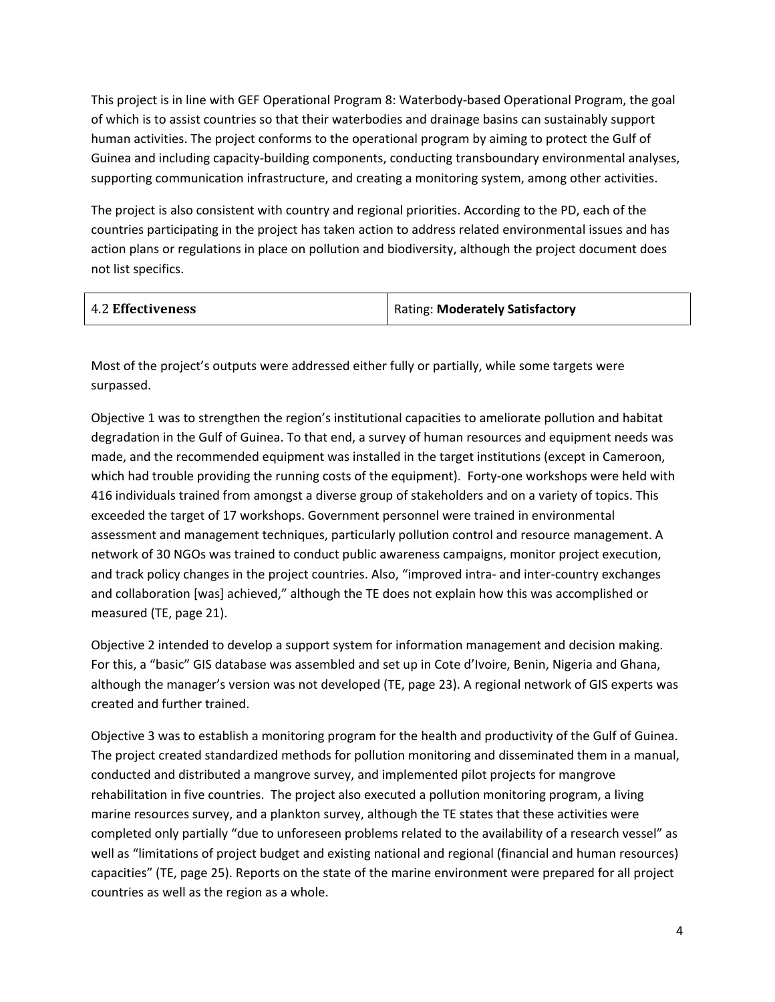This project is in line with GEF Operational Program 8: Waterbody-based Operational Program, the goal of which is to assist countries so that their waterbodies and drainage basins can sustainably support human activities. The project conforms to the operational program by aiming to protect the Gulf of Guinea and including capacity-building components, conducting transboundary environmental analyses, supporting communication infrastructure, and creating a monitoring system, among other activities.

The project is also consistent with country and regional priorities. According to the PD, each of the countries participating in the project has taken action to address related environmental issues and has action plans or regulations in place on pollution and biodiversity, although the project document does not list specifics.

| <b>4.2 Effectiveness</b> | <b>Rating: Moderately Satisfactory</b> |
|--------------------------|----------------------------------------|
|                          |                                        |

Most of the project's outputs were addressed either fully or partially, while some targets were surpassed.

Objective 1 was to strengthen the region's institutional capacities to ameliorate pollution and habitat degradation in the Gulf of Guinea. To that end, a survey of human resources and equipment needs was made, and the recommended equipment was installed in the target institutions (except in Cameroon, which had trouble providing the running costs of the equipment). Forty-one workshops were held with 416 individuals trained from amongst a diverse group of stakeholders and on a variety of topics. This exceeded the target of 17 workshops. Government personnel were trained in environmental assessment and management techniques, particularly pollution control and resource management. A network of 30 NGOs was trained to conduct public awareness campaigns, monitor project execution, and track policy changes in the project countries. Also, "improved intra- and inter-country exchanges and collaboration [was] achieved," although the TE does not explain how this was accomplished or measured (TE, page 21).

Objective 2 intended to develop a support system for information management and decision making. For this, a "basic" GIS database was assembled and set up in Cote d'Ivoire, Benin, Nigeria and Ghana, although the manager's version was not developed (TE, page 23). A regional network of GIS experts was created and further trained.

Objective 3 was to establish a monitoring program for the health and productivity of the Gulf of Guinea. The project created standardized methods for pollution monitoring and disseminated them in a manual, conducted and distributed a mangrove survey, and implemented pilot projects for mangrove rehabilitation in five countries. The project also executed a pollution monitoring program, a living marine resources survey, and a plankton survey, although the TE states that these activities were completed only partially "due to unforeseen problems related to the availability of a research vessel" as well as "limitations of project budget and existing national and regional (financial and human resources) capacities" (TE, page 25). Reports on the state of the marine environment were prepared for all project countries as well as the region as a whole.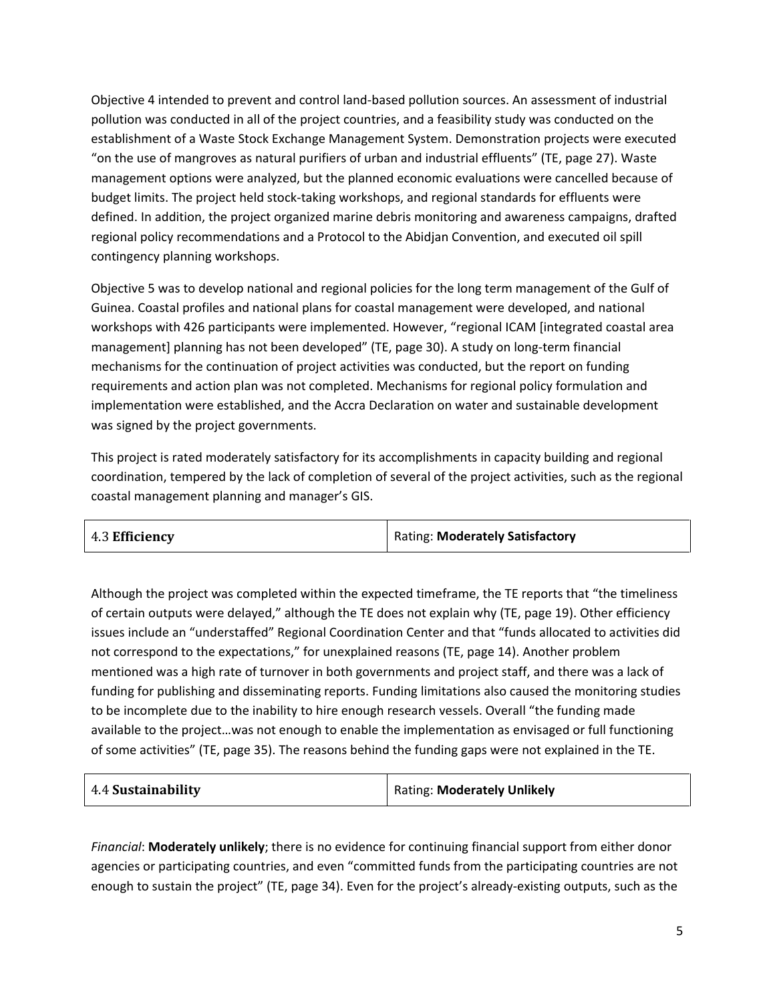Objective 4 intended to prevent and control land-based pollution sources. An assessment of industrial pollution was conducted in all of the project countries, and a feasibility study was conducted on the establishment of a Waste Stock Exchange Management System. Demonstration projects were executed "on the use of mangroves as natural purifiers of urban and industrial effluents" (TE, page 27). Waste management options were analyzed, but the planned economic evaluations were cancelled because of budget limits. The project held stock-taking workshops, and regional standards for effluents were defined. In addition, the project organized marine debris monitoring and awareness campaigns, drafted regional policy recommendations and a Protocol to the Abidjan Convention, and executed oil spill contingency planning workshops.

Objective 5 was to develop national and regional policies for the long term management of the Gulf of Guinea. Coastal profiles and national plans for coastal management were developed, and national workshops with 426 participants were implemented. However, "regional ICAM [integrated coastal area management] planning has not been developed" (TE, page 30). A study on long-term financial mechanisms for the continuation of project activities was conducted, but the report on funding requirements and action plan was not completed. Mechanisms for regional policy formulation and implementation were established, and the Accra Declaration on water and sustainable development was signed by the project governments.

This project is rated moderately satisfactory for its accomplishments in capacity building and regional coordination, tempered by the lack of completion of several of the project activities, such as the regional coastal management planning and manager's GIS.

| 4.3 Efficiency | Rating: Moderately Satisfactory |
|----------------|---------------------------------|
|----------------|---------------------------------|

Although the project was completed within the expected timeframe, the TE reports that "the timeliness of certain outputs were delayed," although the TE does not explain why (TE, page 19). Other efficiency issues include an "understaffed" Regional Coordination Center and that "funds allocated to activities did not correspond to the expectations," for unexplained reasons (TE, page 14). Another problem mentioned was a high rate of turnover in both governments and project staff, and there was a lack of funding for publishing and disseminating reports. Funding limitations also caused the monitoring studies to be incomplete due to the inability to hire enough research vessels. Overall "the funding made available to the project…was not enough to enable the implementation as envisaged or full functioning of some activities" (TE, page 35). The reasons behind the funding gaps were not explained in the TE.

| 4.4 Sustainability | <b>Rating: Moderately Unlikely</b> |
|--------------------|------------------------------------|
|--------------------|------------------------------------|

*Financial*: **Moderately unlikely**; there is no evidence for continuing financial support from either donor agencies or participating countries, and even "committed funds from the participating countries are not enough to sustain the project" (TE, page 34). Even for the project's already-existing outputs, such as the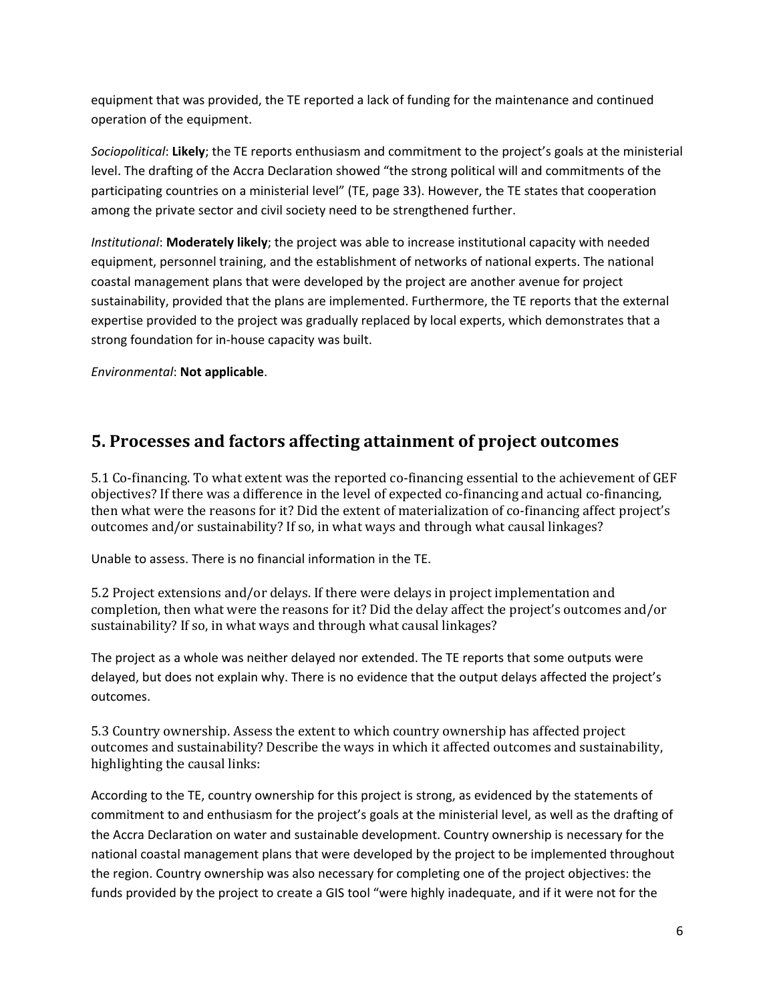equipment that was provided, the TE reported a lack of funding for the maintenance and continued operation of the equipment.

*Sociopolitical*: **Likely**; the TE reports enthusiasm and commitment to the project's goals at the ministerial level. The drafting of the Accra Declaration showed "the strong political will and commitments of the participating countries on a ministerial level" (TE, page 33). However, the TE states that cooperation among the private sector and civil society need to be strengthened further.

*Institutional*: **Moderately likely**; the project was able to increase institutional capacity with needed equipment, personnel training, and the establishment of networks of national experts. The national coastal management plans that were developed by the project are another avenue for project sustainability, provided that the plans are implemented. Furthermore, the TE reports that the external expertise provided to the project was gradually replaced by local experts, which demonstrates that a strong foundation for in-house capacity was built.

*Environmental*: **Not applicable**.

### **5. Processes and factors affecting attainment of project outcomes**

5.1 Co-financing. To what extent was the reported co-financing essential to the achievement of GEF objectives? If there was a difference in the level of expected co-financing and actual co-financing, then what were the reasons for it? Did the extent of materialization of co-financing affect project's outcomes and/or sustainability? If so, in what ways and through what causal linkages?

Unable to assess. There is no financial information in the TE.

5.2 Project extensions and/or delays. If there were delays in project implementation and completion, then what were the reasons for it? Did the delay affect the project's outcomes and/or sustainability? If so, in what ways and through what causal linkages?

The project as a whole was neither delayed nor extended. The TE reports that some outputs were delayed, but does not explain why. There is no evidence that the output delays affected the project's outcomes.

5.3 Country ownership. Assess the extent to which country ownership has affected project outcomes and sustainability? Describe the ways in which it affected outcomes and sustainability, highlighting the causal links:

According to the TE, country ownership for this project is strong, as evidenced by the statements of commitment to and enthusiasm for the project's goals at the ministerial level, as well as the drafting of the Accra Declaration on water and sustainable development. Country ownership is necessary for the national coastal management plans that were developed by the project to be implemented throughout the region. Country ownership was also necessary for completing one of the project objectives: the funds provided by the project to create a GIS tool "were highly inadequate, and if it were not for the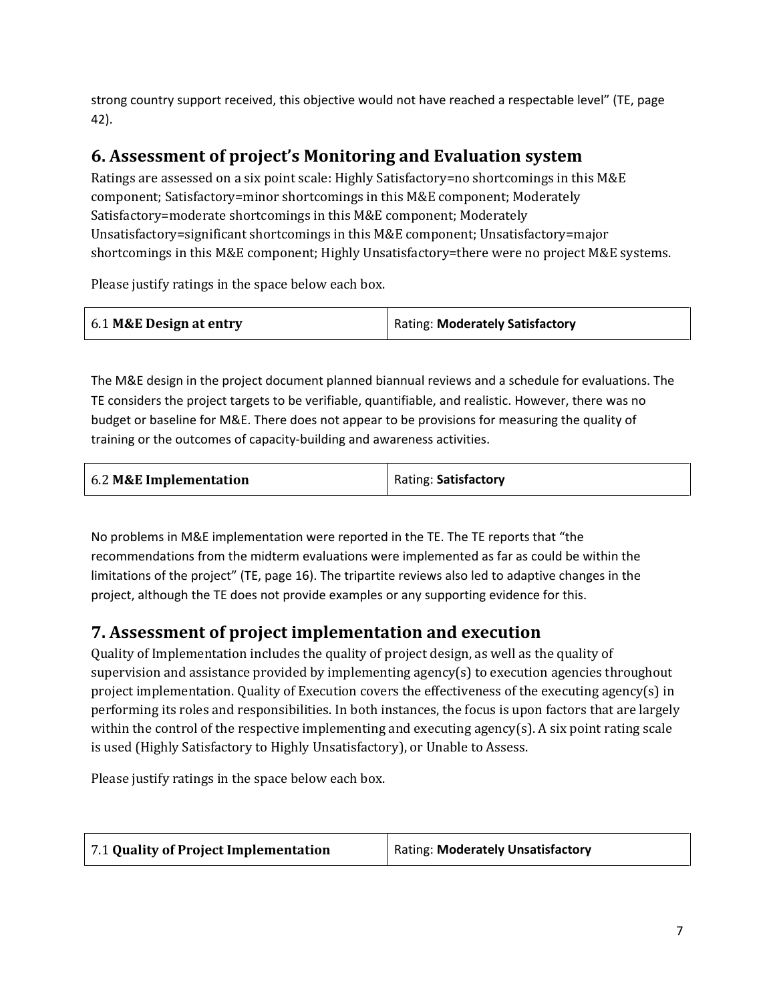strong country support received, this objective would not have reached a respectable level" (TE, page 42).

### **6. Assessment of project's Monitoring and Evaluation system**

Ratings are assessed on a six point scale: Highly Satisfactory=no shortcomings in this M&E component; Satisfactory=minor shortcomings in this M&E component; Moderately Satisfactory=moderate shortcomings in this M&E component; Moderately Unsatisfactory=significant shortcomings in this M&E component; Unsatisfactory=major shortcomings in this M&E component; Highly Unsatisfactory=there were no project M&E systems.

Please justify ratings in the space below each box.

| 6.1 M&E Design at entry | <b>Rating: Moderately Satisfactory</b> |
|-------------------------|----------------------------------------|
|-------------------------|----------------------------------------|

The M&E design in the project document planned biannual reviews and a schedule for evaluations. The TE considers the project targets to be verifiable, quantifiable, and realistic. However, there was no budget or baseline for M&E. There does not appear to be provisions for measuring the quality of training or the outcomes of capacity-building and awareness activities.

| 6.2 M&E Implementation | Rating: Satisfactory |
|------------------------|----------------------|
|------------------------|----------------------|

No problems in M&E implementation were reported in the TE. The TE reports that "the recommendations from the midterm evaluations were implemented as far as could be within the limitations of the project" (TE, page 16). The tripartite reviews also led to adaptive changes in the project, although the TE does not provide examples or any supporting evidence for this.

### **7. Assessment of project implementation and execution**

Quality of Implementation includes the quality of project design, as well as the quality of supervision and assistance provided by implementing agency(s) to execution agencies throughout project implementation. Quality of Execution covers the effectiveness of the executing agency(s) in performing its roles and responsibilities. In both instances, the focus is upon factors that are largely within the control of the respective implementing and executing agency(s). A six point rating scale is used (Highly Satisfactory to Highly Unsatisfactory), or Unable to Assess.

Please justify ratings in the space below each box.

| 7.1 Quality of Project Implementation | Rating: Moderately Unsatisfactory |
|---------------------------------------|-----------------------------------|
|---------------------------------------|-----------------------------------|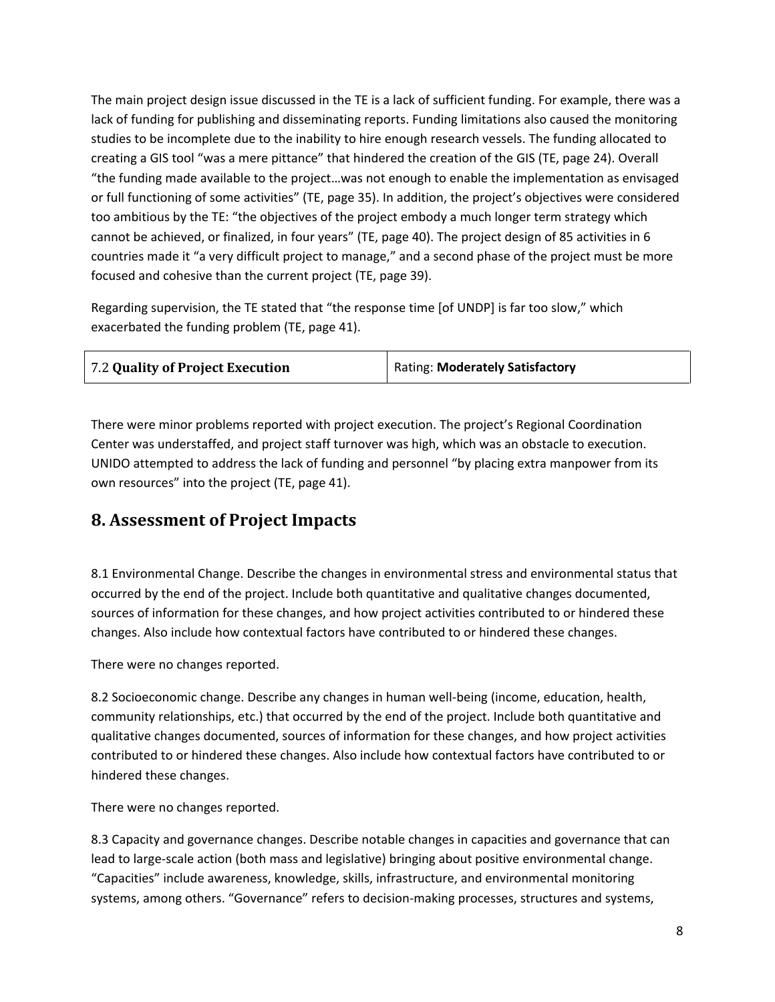The main project design issue discussed in the TE is a lack of sufficient funding. For example, there was a lack of funding for publishing and disseminating reports. Funding limitations also caused the monitoring studies to be incomplete due to the inability to hire enough research vessels. The funding allocated to creating a GIS tool "was a mere pittance" that hindered the creation of the GIS (TE, page 24). Overall "the funding made available to the project…was not enough to enable the implementation as envisaged or full functioning of some activities" (TE, page 35). In addition, the project's objectives were considered too ambitious by the TE: "the objectives of the project embody a much longer term strategy which cannot be achieved, or finalized, in four years" (TE, page 40). The project design of 85 activities in 6 countries made it "a very difficult project to manage," and a second phase of the project must be more focused and cohesive than the current project (TE, page 39).

Regarding supervision, the TE stated that "the response time [of UNDP] is far too slow," which exacerbated the funding problem (TE, page 41).

| 7.2 Quality of Project Execution | <b>Rating: Moderately Satisfactory</b> |
|----------------------------------|----------------------------------------|
|                                  |                                        |

There were minor problems reported with project execution. The project's Regional Coordination Center was understaffed, and project staff turnover was high, which was an obstacle to execution. UNIDO attempted to address the lack of funding and personnel "by placing extra manpower from its own resources" into the project (TE, page 41).

#### **8. Assessment of Project Impacts**

8.1 Environmental Change. Describe the changes in environmental stress and environmental status that occurred by the end of the project. Include both quantitative and qualitative changes documented, sources of information for these changes, and how project activities contributed to or hindered these changes. Also include how contextual factors have contributed to or hindered these changes.

There were no changes reported.

8.2 Socioeconomic change. Describe any changes in human well-being (income, education, health, community relationships, etc.) that occurred by the end of the project. Include both quantitative and qualitative changes documented, sources of information for these changes, and how project activities contributed to or hindered these changes. Also include how contextual factors have contributed to or hindered these changes.

There were no changes reported.

8.3 Capacity and governance changes. Describe notable changes in capacities and governance that can lead to large-scale action (both mass and legislative) bringing about positive environmental change. "Capacities" include awareness, knowledge, skills, infrastructure, and environmental monitoring systems, among others. "Governance" refers to decision-making processes, structures and systems,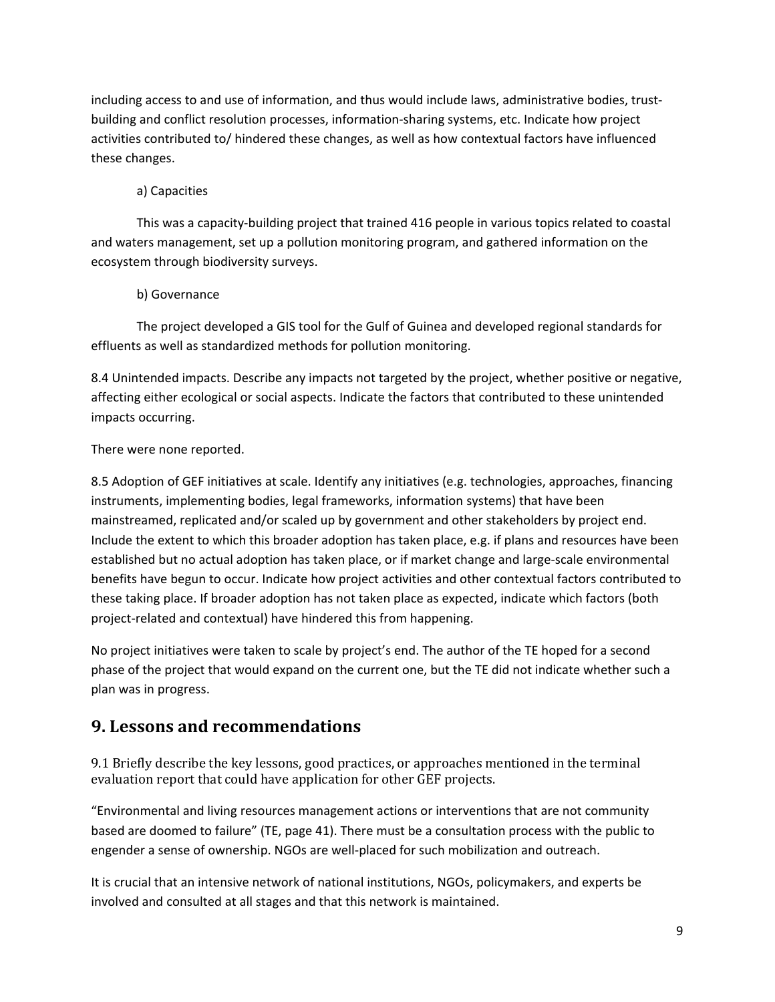including access to and use of information, and thus would include laws, administrative bodies, trustbuilding and conflict resolution processes, information-sharing systems, etc. Indicate how project activities contributed to/ hindered these changes, as well as how contextual factors have influenced these changes.

#### a) Capacities

This was a capacity-building project that trained 416 people in various topics related to coastal and waters management, set up a pollution monitoring program, and gathered information on the ecosystem through biodiversity surveys.

#### b) Governance

The project developed a GIS tool for the Gulf of Guinea and developed regional standards for effluents as well as standardized methods for pollution monitoring.

8.4 Unintended impacts. Describe any impacts not targeted by the project, whether positive or negative, affecting either ecological or social aspects. Indicate the factors that contributed to these unintended impacts occurring.

#### There were none reported.

8.5 Adoption of GEF initiatives at scale. Identify any initiatives (e.g. technologies, approaches, financing instruments, implementing bodies, legal frameworks, information systems) that have been mainstreamed, replicated and/or scaled up by government and other stakeholders by project end. Include the extent to which this broader adoption has taken place, e.g. if plans and resources have been established but no actual adoption has taken place, or if market change and large-scale environmental benefits have begun to occur. Indicate how project activities and other contextual factors contributed to these taking place. If broader adoption has not taken place as expected, indicate which factors (both project-related and contextual) have hindered this from happening.

No project initiatives were taken to scale by project's end. The author of the TE hoped for a second phase of the project that would expand on the current one, but the TE did not indicate whether such a plan was in progress.

#### **9. Lessons and recommendations**

9.1 Briefly describe the key lessons, good practices, or approaches mentioned in the terminal evaluation report that could have application for other GEF projects.

"Environmental and living resources management actions or interventions that are not community based are doomed to failure" (TE, page 41). There must be a consultation process with the public to engender a sense of ownership. NGOs are well-placed for such mobilization and outreach.

It is crucial that an intensive network of national institutions, NGOs, policymakers, and experts be involved and consulted at all stages and that this network is maintained.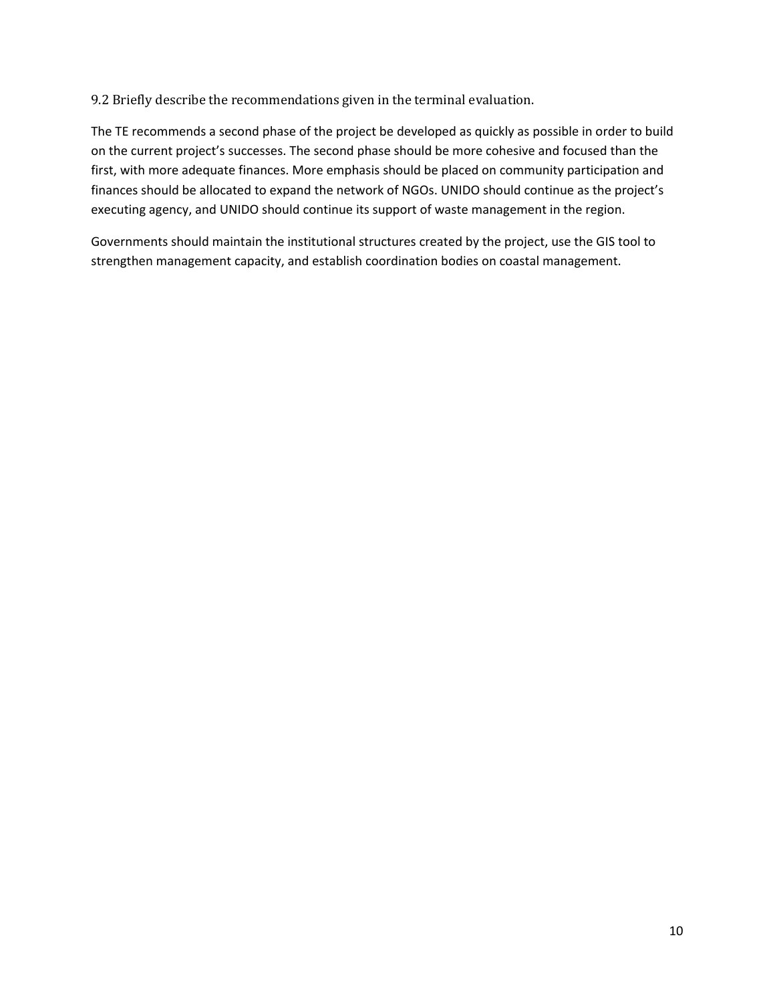9.2 Briefly describe the recommendations given in the terminal evaluation.

The TE recommends a second phase of the project be developed as quickly as possible in order to build on the current project's successes. The second phase should be more cohesive and focused than the first, with more adequate finances. More emphasis should be placed on community participation and finances should be allocated to expand the network of NGOs. UNIDO should continue as the project's executing agency, and UNIDO should continue its support of waste management in the region.

Governments should maintain the institutional structures created by the project, use the GIS tool to strengthen management capacity, and establish coordination bodies on coastal management.